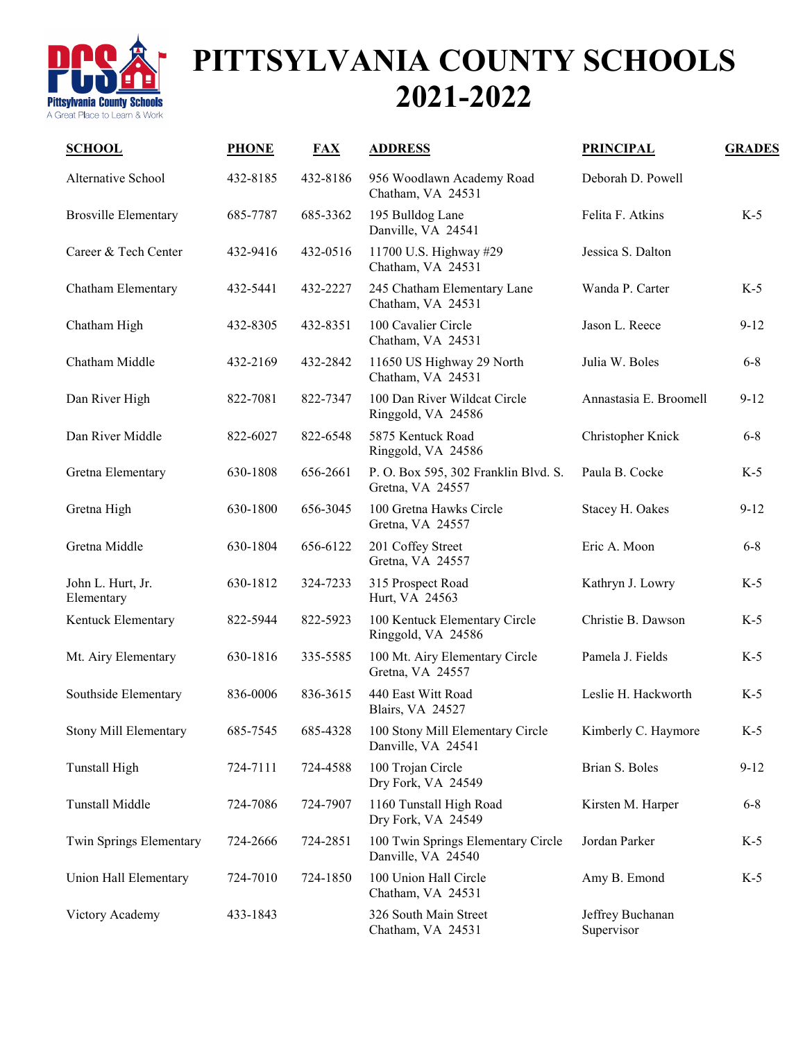

## **PITTSYLVANIA COUNTY SCHOOLS 2021-2022**

| <b>SCHOOL</b>                   | <b>PHONE</b> | <b>FAX</b> | <b>ADDRESS</b>                                           | <b>PRINCIPAL</b>               | <b>GRADES</b> |
|---------------------------------|--------------|------------|----------------------------------------------------------|--------------------------------|---------------|
| Alternative School              | 432-8185     | 432-8186   | 956 Woodlawn Academy Road<br>Chatham, VA 24531           | Deborah D. Powell              |               |
| <b>Brosville Elementary</b>     | 685-7787     | 685-3362   | 195 Bulldog Lane<br>Danville, VA 24541                   | Felita F. Atkins               | $K-5$         |
| Career & Tech Center            | 432-9416     | 432-0516   | 11700 U.S. Highway #29<br>Chatham, VA 24531              | Jessica S. Dalton              |               |
| Chatham Elementary              | 432-5441     | 432-2227   | 245 Chatham Elementary Lane<br>Chatham, VA 24531         | Wanda P. Carter                | $K-5$         |
| Chatham High                    | 432-8305     | 432-8351   | 100 Cavalier Circle<br>Chatham, VA 24531                 | Jason L. Reece                 | $9 - 12$      |
| Chatham Middle                  | 432-2169     | 432-2842   | 11650 US Highway 29 North<br>Chatham, VA 24531           | Julia W. Boles                 | $6 - 8$       |
| Dan River High                  | 822-7081     | 822-7347   | 100 Dan River Wildcat Circle<br>Ringgold, VA 24586       | Annastasia E. Broomell         | $9 - 12$      |
| Dan River Middle                | 822-6027     | 822-6548   | 5875 Kentuck Road<br>Ringgold, VA 24586                  | Christopher Knick              | $6 - 8$       |
| Gretna Elementary               | 630-1808     | 656-2661   | P. O. Box 595, 302 Franklin Blvd. S.<br>Gretna, VA 24557 | Paula B. Cocke                 | $K-5$         |
| Gretna High                     | 630-1800     | 656-3045   | 100 Gretna Hawks Circle<br>Gretna, VA 24557              | Stacey H. Oakes                | $9 - 12$      |
| Gretna Middle                   | 630-1804     | 656-6122   | 201 Coffey Street<br>Gretna, VA 24557                    | Eric A. Moon                   | $6 - 8$       |
| John L. Hurt, Jr.<br>Elementary | 630-1812     | 324-7233   | 315 Prospect Road<br>Hurt, VA 24563                      | Kathryn J. Lowry               | $K-5$         |
| Kentuck Elementary              | 822-5944     | 822-5923   | 100 Kentuck Elementary Circle<br>Ringgold, VA 24586      | Christie B. Dawson             | $K-5$         |
| Mt. Airy Elementary             | 630-1816     | 335-5585   | 100 Mt. Airy Elementary Circle<br>Gretna, VA 24557       | Pamela J. Fields               | $K-5$         |
| Southside Elementary            | 836-0006     | 836-3615   | 440 East Witt Road<br><b>Blairs, VA 24527</b>            | Leslie H. Hackworth            | $K-5$         |
| Stony Mill Elementary           | 685-7545     | 685-4328   | 100 Stony Mill Elementary Circle<br>Danville, VA 24541   | Kimberly C. Haymore            | $K-5$         |
| Tunstall High                   | 724-7111     | 724-4588   | 100 Trojan Circle<br>Dry Fork, VA 24549                  | Brian S. Boles                 | $9 - 12$      |
| <b>Tunstall Middle</b>          | 724-7086     | 724-7907   | 1160 Tunstall High Road<br>Dry Fork, VA 24549            | Kirsten M. Harper              | $6 - 8$       |
| Twin Springs Elementary         | 724-2666     | 724-2851   | 100 Twin Springs Elementary Circle<br>Danville, VA 24540 | Jordan Parker                  | $K-5$         |
| Union Hall Elementary           | 724-7010     | 724-1850   | 100 Union Hall Circle<br>Chatham, VA 24531               | Amy B. Emond                   | $K-5$         |
| Victory Academy                 | 433-1843     |            | 326 South Main Street<br>Chatham, VA 24531               | Jeffrey Buchanan<br>Supervisor |               |